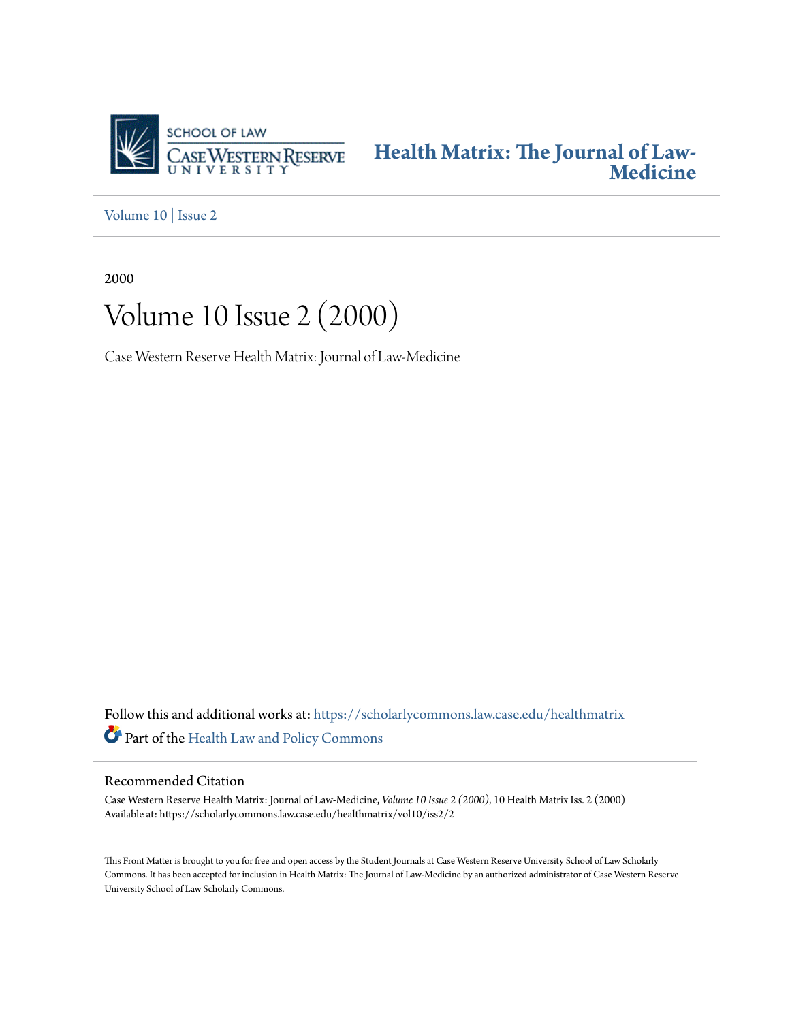

**[Health Matrix: The Journal of Law-](https://scholarlycommons.law.case.edu/healthmatrix?utm_source=scholarlycommons.law.case.edu%2Fhealthmatrix%2Fvol10%2Fiss2%2F2&utm_medium=PDF&utm_campaign=PDFCoverPages)[Medicine](https://scholarlycommons.law.case.edu/healthmatrix?utm_source=scholarlycommons.law.case.edu%2Fhealthmatrix%2Fvol10%2Fiss2%2F2&utm_medium=PDF&utm_campaign=PDFCoverPages)**

[Volume 10](https://scholarlycommons.law.case.edu/healthmatrix/vol10?utm_source=scholarlycommons.law.case.edu%2Fhealthmatrix%2Fvol10%2Fiss2%2F2&utm_medium=PDF&utm_campaign=PDFCoverPages) | [Issue 2](https://scholarlycommons.law.case.edu/healthmatrix/vol10/iss2?utm_source=scholarlycommons.law.case.edu%2Fhealthmatrix%2Fvol10%2Fiss2%2F2&utm_medium=PDF&utm_campaign=PDFCoverPages)

2000

# Volume 10 Issue 2 (2000)

Case Western Reserve Health Matrix: Journal of Law-Medicine

Follow this and additional works at: [https://scholarlycommons.law.case.edu/healthmatrix](https://scholarlycommons.law.case.edu/healthmatrix?utm_source=scholarlycommons.law.case.edu%2Fhealthmatrix%2Fvol10%2Fiss2%2F2&utm_medium=PDF&utm_campaign=PDFCoverPages) Part of the [Health Law and Policy Commons](http://network.bepress.com/hgg/discipline/901?utm_source=scholarlycommons.law.case.edu%2Fhealthmatrix%2Fvol10%2Fiss2%2F2&utm_medium=PDF&utm_campaign=PDFCoverPages)

### Recommended Citation

Case Western Reserve Health Matrix: Journal of Law-Medicine, *Volume 10 Issue 2 (2000)*, 10 Health MatrixIss. 2 (2000) Available at: https://scholarlycommons.law.case.edu/healthmatrix/vol10/iss2/2

This Front Matter is brought to you for free and open access by the Student Journals at Case Western Reserve University School of Law Scholarly Commons. It has been accepted for inclusion in Health Matrix: The Journal of Law-Medicine by an authorized administrator of Case Western Reserve University School of Law Scholarly Commons.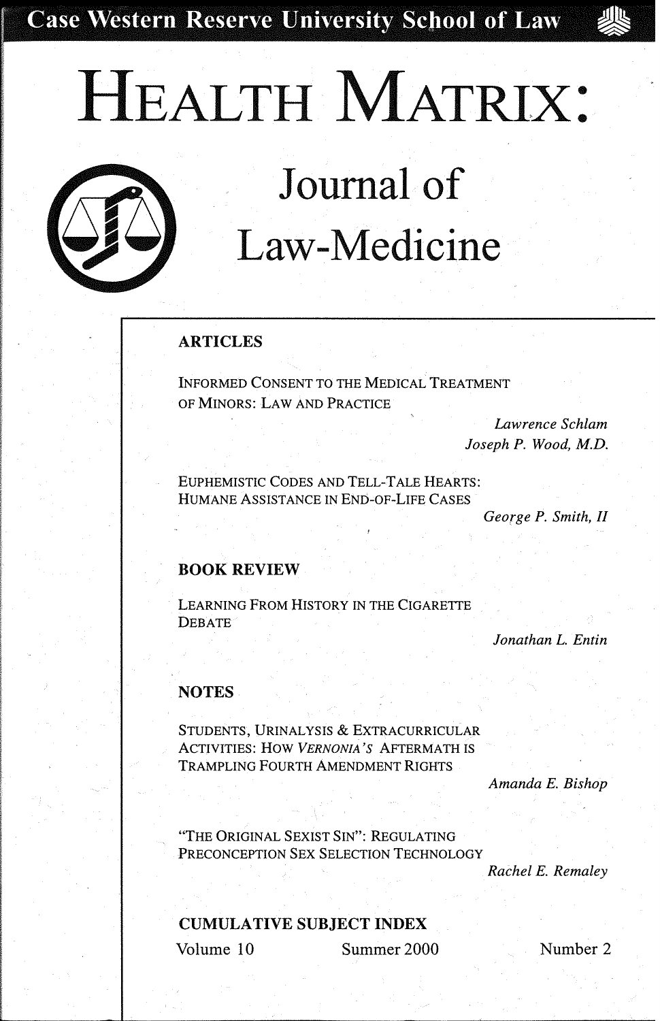**Case Western Reserve University School of Law** 

**HEALTH MATRIX:** 



# **Journal of Law-Medicine**

### **ARTICLES**

INFORMED CONSENT TO THE MEDICAL TREATMENT OF MINORS: LAW AND PRACTICE

> *Lawrence Schlam Joseph P. Wood, M.D.*

EUPHEMISTIC CODES AND TELL-TALE HEARTS: HUMANE ASSISTANCE IN END-OF-LIFE CASES

*George P. Smith, II* 

#### **BOOK REVIEW**

LEARNING FROM HISTORY IN THE CIGARETTE DEBATE

*Jonathan L. Entin* 

#### **NOTES**

STUDENTS, URINALYSIS & EXTRACURRICULAR ACTIVITIES: How *VERNON/A'S* AFTERMATH IS TRAMPLING FOURTH AMENDMENT RIGHTS

*Amanda E. Bishop* 

"THE ORIGINAL SEXIST SIN": REGULATING PRECONCEPTION SEX SELECTION TECHNOLOGY

*Rachel E. Remaley* 

#### **CUMULATIVE SUBJECT INDEX**

Volume 10 Summer 2000

Number 2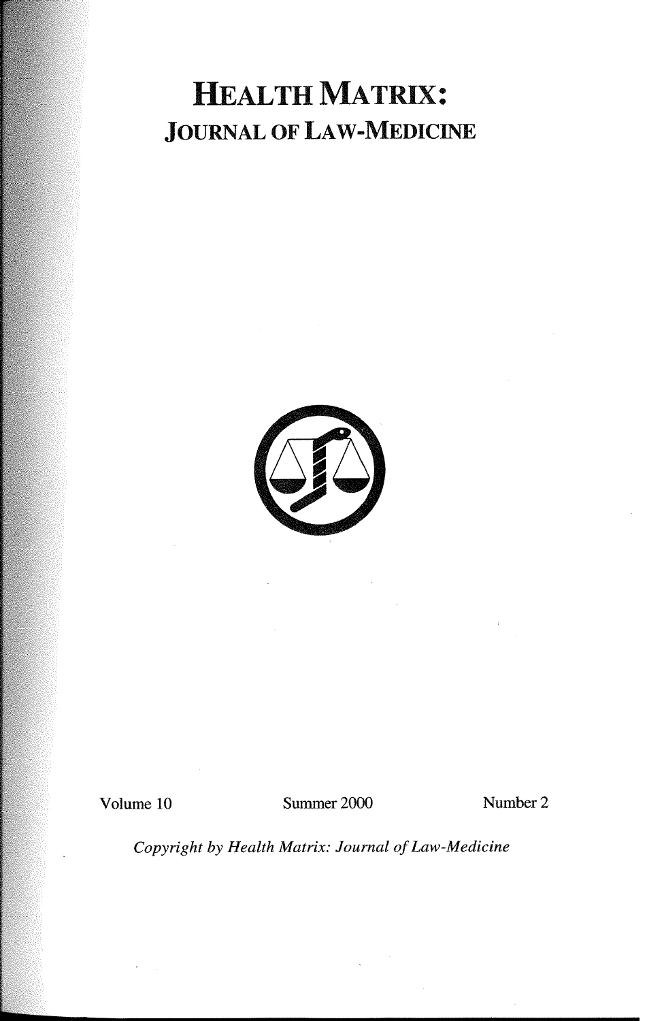# HEALTH MATRIX: JOURNAL OF LAW-MEDICINE



Volume 10 Summer 2000 Number 2

*Copyright by Health Matrix: Journal of Law-Medicine*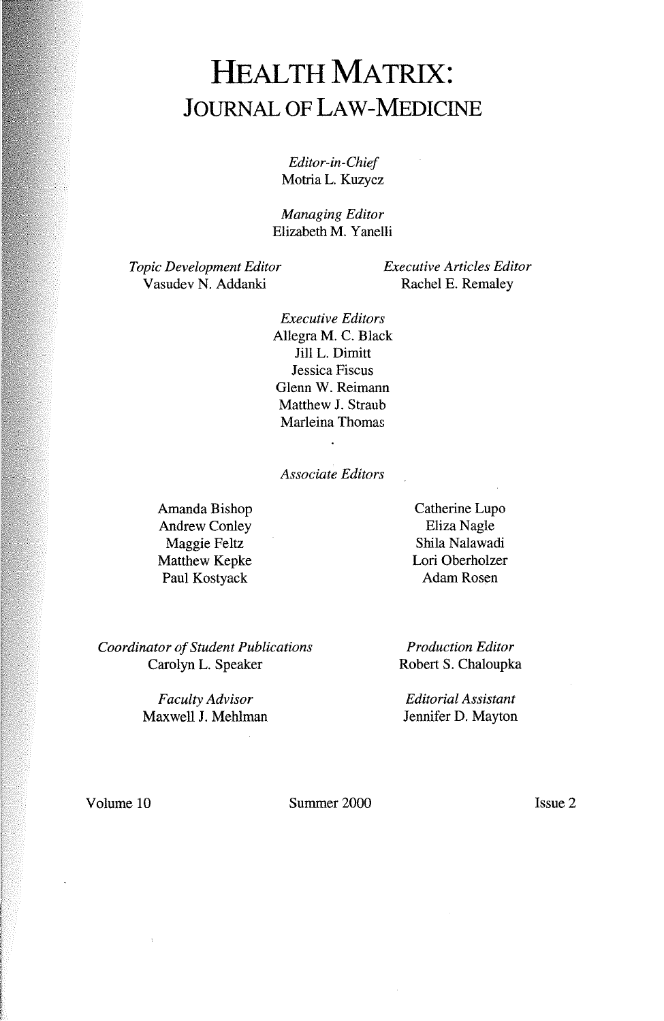### HEALTH MATRIX: **JOURNAL OF LAW-MEDICINE**

*Editor-in-Chief*  Motria L. Kuzycz

*Managing Editor*  Elizabeth M. Y anelli

*Topic Development Editor*  Vasudev N. Addanki

*Executive Articles Editor*  Rachel E. Remaley

*Executive Editors*  Allegra M. C. Black Jill L. Dimitt Jessica Fiscus Glenn W. Reimann Matthew J. Straub Marleina Thomas

#### *Associate Editors*

 $\ddot{\phantom{a}}$ 

Amanda Bishop Andrew Conley Maggie Feltz Matthew Kepke Paul Kostyack

Catherine Lupo Eliza Nagle Shila Nalawadi Lori Oberholzer Adam Rosen

*Coordinator of Student Publications*  Carolyn L. Speaker

> *Faculty Advisor*  Maxwell J. Mehlman

*Production Editor*  Robert S. Chaloupka

*Editorial Assistant*  Jennifer D. Mayton

Volume 10 Summer 2000

Issue 2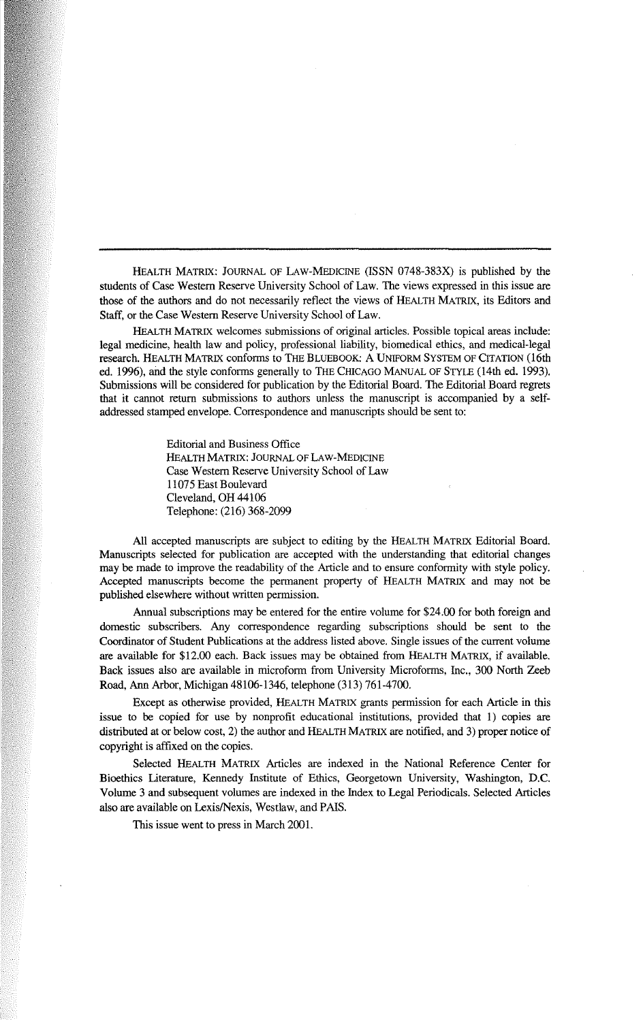HEALTH MATRIX: JOURNAL OF LAW-MEDICINE (ISSN 0748-383X) is published by the students of Case Western Reserve University School of Law. The views expressed in this issue are those of the authors and do not necessarily reflect the views of HEALTH MATRIX, its Editors and Staff, or the Case Western Reserve University School of Law.

HEALTH MATRIX welcomes submissions of original articles. Possible topical areas include: legal medicine, health law and policy, professional liability, biomedical ethics, and medical-legal research. HEALTH MATRIX conforms to THE BLUEBOOK: A UNIFORM SYSTEM OF CITATION (16th ed. 1996), and the style conforms generally to THE CHICAGO MANUAL OF STYLE (14th ed. 1993). Submissions will be considered for publication by the Editorial Board. The Editorial Board regrets that it cannot return submissions to authors unless the manuscript is accompanied by a selfaddressed stamped envelope. Correspondence and manuscripts should be sent to:

> Editorial and Business Office HEALTH MATRIX: JOURNAL OF LAW-MEDICINE Case Western Reserve University School of Law 11075 East Boulevard Cleveland, OH 44106 Telephone: (216) 368-2099

All accepted manuscripts are subject to editing by the HEALTH MATRIX Editorial Board. Manuscripts selected for publication are accepted with the understanding that editorial changes may be made to improve the readability of the Article and to ensure conformity with style policy. Accepted manuscripts become the permanent property of HEALTH MATRIX and may not be published elsewhere without written permission.

Annual subscriptions may be entered for the entire volume for \$24.00 for both foreign and domestic subscribers. Any correspondence regarding subscriptions should be sent to the Coordinator of Student Publications at the address listed above. Single issues of the current volume are available for \$12.00 each. Back issues may be obtained from HEALTH MATRIX, if available. Back issues also are available in microform from University Microforms, Inc., 300 North Zeeb Road, Ann Arbor, Michigan 48106-1346, telephone (313) 761-4700.

Except as otherwise provided, HEALTH MATRIX grants permission for each Article in this issue to be copied for use by nonprofit educational institutions, provided that 1) copies are distributed at or below cost, 2) the author and HEALTH MATRIX are notified, and 3) proper notice of copyright is affixed on the copies.

Selected HEALTH MATRIX Articles are indexed in the National Reference Center for Bioethics Literature, Kennedy Institute of Ethics, Georgetown University, Washington, D.C. Volume 3 and subsequent volumes are indexed in the Index to Legal Periodicals. Selected Articles also are available on Lexis/Nexis, Westlaw, and PAIS.

This issue went to press in March 2001.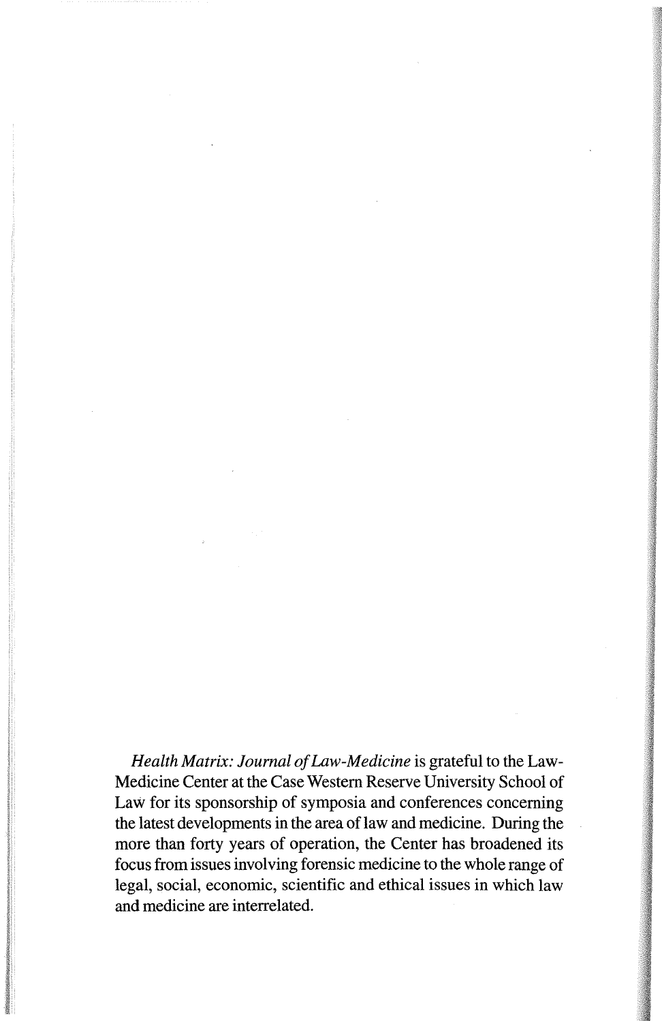*Health Matrix: Journal of Law-Medicine* is grateful to the Law-Medicine Center at the Case Western Reserve University School of Law for its sponsorship of symposia and conferences concerning the latest developments in the area of law and medicine. During the more than forty years of operation, the Center has broadened its focus from issues involving forensic medicine to the whole range of legal, social, economic, scientific and ethical issues in which law and medicine are interrelated.